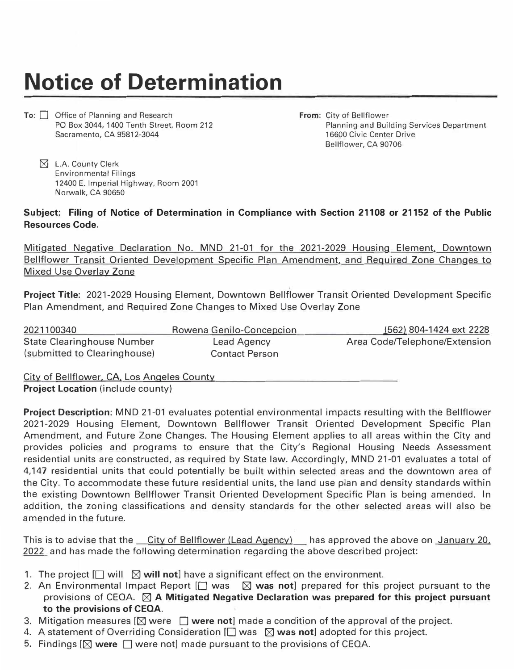## **Notice of Determination**

To: **D** Office of Planning and Research PO Box 3044, 1400 Tenth Street, Room 212 Sacramento, CA 95812-3044

**From:** City of Bellflower Planning and Building Services Department 16600 Civic Center Drive Bellflower, CA 90706

 $\boxtimes$  L.A. County Clerk Environmental Filings 12400 E. Imperial Highway, Room 2001 Norwalk, CA 90650

## **Subject: Filing of Notice of Determination in Compliance with Section 21108 or 21152 of the Public Resources Code.**

Mitigated Negative Declaration No. MND 21-01 for the 2021-2029 Housing Element, Downtown Bellflower Transit Oriented Development Specific Plan Amendment, and Required Zone Changes to Mixed Use Overlay Zone

**Project Title:** 2021-2029 Housing Element, Downtown Bellflower Transit Oriented Development Specific Plan Amendment, and Required Zone Changes to Mixed Use Overlay Zone

| 2021100340                   | Rowena Genilo-Concepcion | (562) 804-1424 ext 2228       |
|------------------------------|--------------------------|-------------------------------|
| State Clearinghouse Number   | Lead Agency              | Area Code/Telephone/Extension |
| (submitted to Clearinghouse) | <b>Contact Person</b>    |                               |

City of Bellflower, CA, Los Angeles County **Project Location** (include county)

**Project Description:** MND 21-01 evaluates potential environmental impacts resulting with the Bellflower 2021-2029 Housing Element, Downtown Bellflower Transit Oriented Development Specific Plan Amendment, and Future Zone Changes. The Housing Element applies to all areas within the City and provides policies and programs to ensure that the City's Regional Housing Needs Assessment residential units are constructed, as required by State law. Accordingly, MND 21-01 evaluates a total of 4,147 residential units that could potentially be built within selected areas and the downtown area of the City. To accommodate these future residential units, the land use plan and density standards within the existing Downtown Bellflower Transit Oriented Development Specific Plan is being amended. In addition, the zoning classifications and density standards for the other selected areas will also be amended in the future.

This is to advise that the \_\_City of Bellflower (Lead Agency) \_\_ has approved the above on January 20, 2022 and has made the following determination regarding the above described project:

- 1. The project  $\Box$  will  $\boxtimes$  will not] have a significant effect on the environment.
- 2. An Environmental Impact Report [□ was  $\boxtimes$  was not] prepared for this project pursuant to the provisions of CEQA.  $\boxtimes$  A Mitigated Negative Declaration was prepared for this project pursuant **to the provisions of CEQA.**
- 3. Mitigation measures  $[\boxtimes]$  were  $\Box$  were not] made a condition of the approval of the project.
- 4. A statement of Overriding Consideration  $[\square]$  was  $\boxtimes$  was not] adopted for this project.
- 5. Findings  $[\boxtimes]$  were  $[\Box]$  were not] made pursuant to the provisions of CEQA.